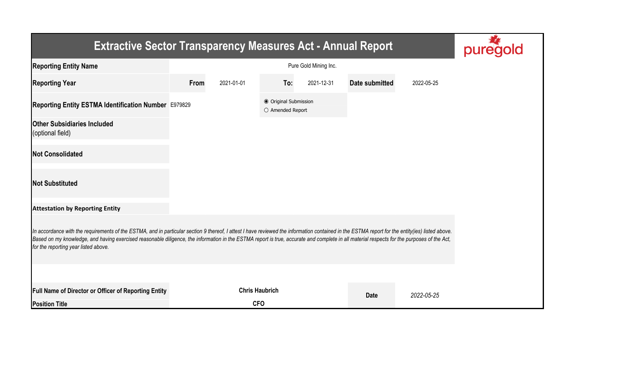| <b>Extractive Sector Transparency Measures Act - Annual Report</b>                                                                                                                                                                                                                                                                                                                                                                    |      |            |                                           |            |                |            |  |  |
|---------------------------------------------------------------------------------------------------------------------------------------------------------------------------------------------------------------------------------------------------------------------------------------------------------------------------------------------------------------------------------------------------------------------------------------|------|------------|-------------------------------------------|------------|----------------|------------|--|--|
| <b>Reporting Entity Name</b>                                                                                                                                                                                                                                                                                                                                                                                                          |      |            |                                           |            |                |            |  |  |
| <b>Reporting Year</b>                                                                                                                                                                                                                                                                                                                                                                                                                 | From | 2021-01-01 | To:                                       | 2021-12-31 | Date submitted | 2022-05-25 |  |  |
| Reporting Entity ESTMA Identification Number E979829                                                                                                                                                                                                                                                                                                                                                                                  |      |            | ● Original Submission<br>O Amended Report |            |                |            |  |  |
| <b>Other Subsidiaries Included</b><br>(optional field)                                                                                                                                                                                                                                                                                                                                                                                |      |            |                                           |            |                |            |  |  |
| <b>Not Consolidated</b>                                                                                                                                                                                                                                                                                                                                                                                                               |      |            |                                           |            |                |            |  |  |
| <b>Not Substituted</b>                                                                                                                                                                                                                                                                                                                                                                                                                |      |            |                                           |            |                |            |  |  |
| <b>Attestation by Reporting Entity</b>                                                                                                                                                                                                                                                                                                                                                                                                |      |            |                                           |            |                |            |  |  |
| In accordance with the requirements of the ESTMA, and in particular section 9 thereof, I attest I have reviewed the information contained in the ESTMA report for the entity(ies) listed above.<br>Based on my knowledge, and having exercised reasonable diligence, the information in the ESTMA report is true, accurate and complete in all material respects for the purposes of the Act,<br>for the reporting year listed above. |      |            |                                           |            |                |            |  |  |
|                                                                                                                                                                                                                                                                                                                                                                                                                                       |      |            |                                           |            |                |            |  |  |
| <b>Full Name of Director or Officer of Reporting Entity</b>                                                                                                                                                                                                                                                                                                                                                                           |      |            | <b>Chris Haubrich</b>                     |            | <b>Date</b>    | 2022-05-25 |  |  |
| <b>Position Title</b>                                                                                                                                                                                                                                                                                                                                                                                                                 |      | <b>CFO</b> |                                           |            |                |            |  |  |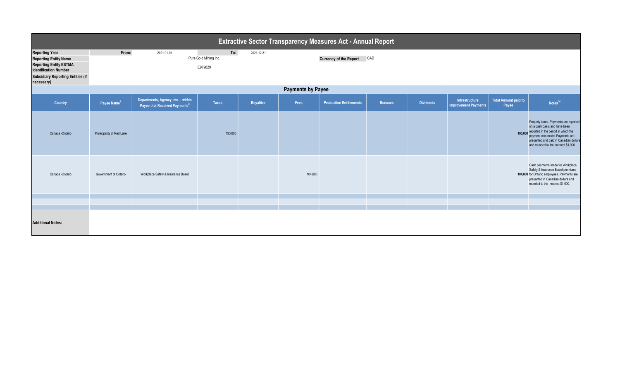| <b>Extractive Sector Transparency Measures Act - Annual Report</b>                                                                                                               |                                                                              |                                                                              |              |           |                                      |                                |                |                  |                                               |                                      |                                                                                                                                                                                                                                  |
|----------------------------------------------------------------------------------------------------------------------------------------------------------------------------------|------------------------------------------------------------------------------|------------------------------------------------------------------------------|--------------|-----------|--------------------------------------|--------------------------------|----------------|------------------|-----------------------------------------------|--------------------------------------|----------------------------------------------------------------------------------------------------------------------------------------------------------------------------------------------------------------------------------|
| <b>Reporting Year</b><br><b>Reporting Entity Name</b><br><b>Reporting Entity ESTMA</b><br><b>Identification Number</b><br><b>Subsidiary Reporting Entities (if</b><br>necessary) | From:<br>To:<br>2021-01-01<br>2021-12-31<br>Pure Gold Mining Inc.<br>E979829 |                                                                              |              |           | <b>Currency of the Report</b><br>CAD |                                |                |                  |                                               |                                      |                                                                                                                                                                                                                                  |
| <b>Payments by Payee</b>                                                                                                                                                         |                                                                              |                                                                              |              |           |                                      |                                |                |                  |                                               |                                      |                                                                                                                                                                                                                                  |
| <b>Country</b>                                                                                                                                                                   | Payee Name <sup>1</sup>                                                      | Departments, Agency, etc within<br>Payee that Received Payments <sup>2</sup> | <b>Taxes</b> | Royalties | Fees                                 | <b>Production Entitlements</b> | <b>Bonuses</b> | <b>Dividends</b> | Infrastructure<br><b>Improvement Payments</b> | <b>Total Amount paid to</b><br>Payee | Notes <sup>34</sup>                                                                                                                                                                                                              |
| Canada - Ontario                                                                                                                                                                 | Municipality of Red Lake                                                     |                                                                              | 193,000      |           |                                      |                                |                |                  |                                               | 193,000                              | Property taxes. Payments are reported<br>on a cash basis and have been<br>reported in the period in which the<br>payment was made. Payments are<br>presented and paid in Canadian dollars<br>and rounded to the nearest \$1,000. |
| Canada -Ontario                                                                                                                                                                  | Government of Ontario                                                        | Workplace Safety & Insurance Board                                           |              |           | 104,000                              |                                |                |                  |                                               |                                      | Cash payments made for Workplace<br>Safety & Insurance Board premiums<br>104,000 for Ontario employees. Payments are<br>presented in Canadian dollars and<br>rounded to the nearest \$1,000.                                     |
|                                                                                                                                                                                  |                                                                              |                                                                              |              |           |                                      |                                |                |                  |                                               |                                      |                                                                                                                                                                                                                                  |
|                                                                                                                                                                                  |                                                                              |                                                                              |              |           |                                      |                                |                |                  |                                               |                                      |                                                                                                                                                                                                                                  |
| <b>Additional Notes:</b>                                                                                                                                                         |                                                                              |                                                                              |              |           |                                      |                                |                |                  |                                               |                                      |                                                                                                                                                                                                                                  |